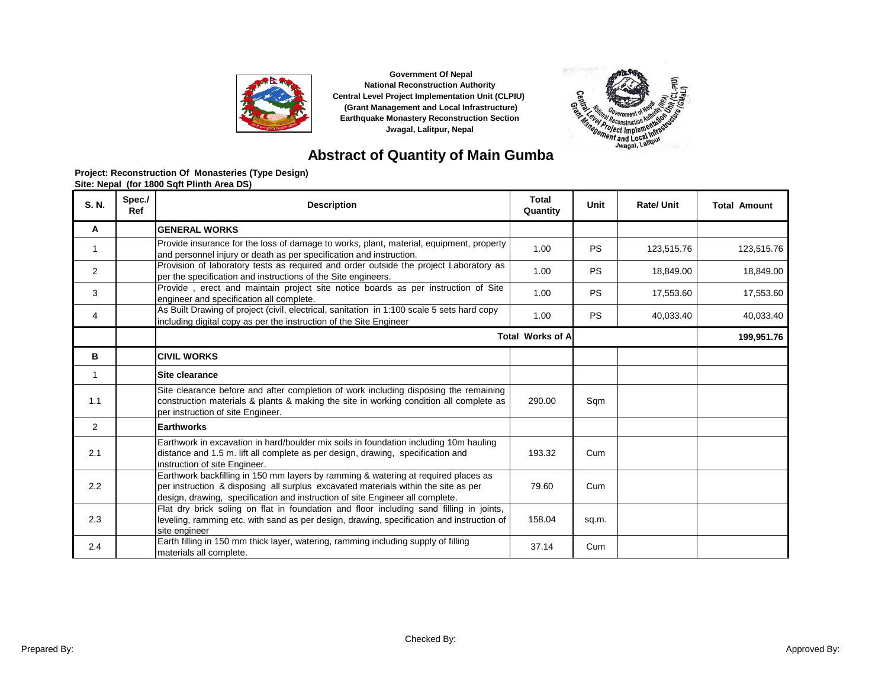



# **Abstract of Quantity of Main Gumba**

| Project: Reconstruction Of Monasteries (Type Design) |  |
|------------------------------------------------------|--|
| Site: Nepal (for 1800 Sqft Plinth Area DS)           |  |

| S. N.          | Spec./<br>Ref | <b>Description</b>                                                                                                                                                                                                                                        | <b>Total</b><br>Quantity | <b>Unit</b> | Rate/ Unit | <b>Total Amount</b> |
|----------------|---------------|-----------------------------------------------------------------------------------------------------------------------------------------------------------------------------------------------------------------------------------------------------------|--------------------------|-------------|------------|---------------------|
| A              |               | <b>GENERAL WORKS</b>                                                                                                                                                                                                                                      |                          |             |            |                     |
| 1              |               | Provide insurance for the loss of damage to works, plant, material, equipment, property<br>and personnel injury or death as per specification and instruction.                                                                                            | 1.00                     | <b>PS</b>   | 123,515.76 | 123,515.76          |
| $\overline{2}$ |               | Provision of laboratory tests as required and order outside the project Laboratory as<br>per the specification and instructions of the Site engineers.                                                                                                    | 1.00                     | <b>PS</b>   | 18,849.00  | 18,849.00           |
| 3              |               | Provide, erect and maintain project site notice boards as per instruction of Site<br>engineer and specification all complete.                                                                                                                             | 1.00                     | <b>PS</b>   | 17,553.60  | 17,553.60           |
| 4              |               | As Built Drawing of project (civil, electrical, sanitation in 1:100 scale 5 sets hard copy<br>including digital copy as per the instruction of the Site Engineer                                                                                          | 1.00                     | <b>PS</b>   | 40,033.40  | 40,033.40           |
|                |               |                                                                                                                                                                                                                                                           | <b>Total Works of A</b>  |             |            | 199,951.76          |
| в              |               | <b>CIVIL WORKS</b>                                                                                                                                                                                                                                        |                          |             |            |                     |
| 1              |               | Site clearance                                                                                                                                                                                                                                            |                          |             |            |                     |
| 1.1            |               | Site clearance before and after completion of work including disposing the remaining<br>construction materials & plants & making the site in working condition all complete as<br>per instruction of site Engineer.                                       | 290.00                   | Sqm         |            |                     |
| 2              |               | <b>Earthworks</b>                                                                                                                                                                                                                                         |                          |             |            |                     |
| 2.1            |               | Earthwork in excavation in hard/boulder mix soils in foundation including 10m hauling<br>distance and 1.5 m. lift all complete as per design, drawing, specification and<br>instruction of site Engineer.                                                 | 193.32                   | Cum         |            |                     |
| 2.2            |               | Earthwork backfilling in 150 mm layers by ramming & watering at required places as<br>per instruction & disposing all surplus excavated materials within the site as per<br>design, drawing, specification and instruction of site Engineer all complete. | 79.60                    | Cum         |            |                     |
| 2.3            |               | Flat dry brick soling on flat in foundation and floor including sand filling in joints,<br>leveling, ramming etc. with sand as per design, drawing, specification and instruction of<br>site engineer                                                     | 158.04                   | sq.m.       |            |                     |
| 2.4            |               | Earth filling in 150 mm thick layer, watering, ramming including supply of filling<br>materials all complete.                                                                                                                                             | 37.14                    | Cum         |            |                     |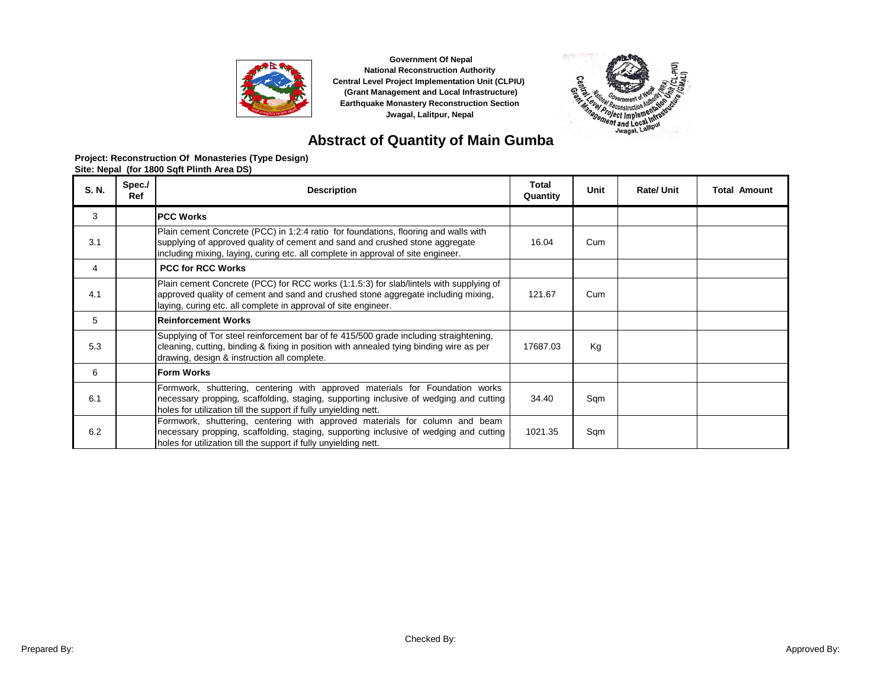



# **Abstract of Quantity of Main Gumba**

| S. N. | Spec./<br>Ref | <b>Description</b>                                                                                                                                                                                                                                      | <b>Total</b><br>Quantity | <b>Unit</b> | <b>Rate/Unit</b> | <b>Total Amount</b> |
|-------|---------------|---------------------------------------------------------------------------------------------------------------------------------------------------------------------------------------------------------------------------------------------------------|--------------------------|-------------|------------------|---------------------|
| 3     |               | <b>PCC Works</b>                                                                                                                                                                                                                                        |                          |             |                  |                     |
| 3.1   |               | Plain cement Concrete (PCC) in 1:2:4 ratio for foundations, flooring and walls with<br>supplying of approved quality of cement and sand and crushed stone aggregate<br>including mixing, laying, curing etc. all complete in approval of site engineer. | 16.04                    | Cum         |                  |                     |
| 4     |               | <b>PCC for RCC Works</b>                                                                                                                                                                                                                                |                          |             |                  |                     |
| 4.1   |               | Plain cement Concrete (PCC) for RCC works (1:1.5:3) for slab/lintels with supplying of<br>approved quality of cement and sand and crushed stone aggregate including mixing,<br>laying, curing etc. all complete in approval of site engineer.           | 121.67                   | Cum         |                  |                     |
| 5     |               | <b>Reinforcement Works</b>                                                                                                                                                                                                                              |                          |             |                  |                     |
| 5.3   |               | Supplying of Tor steel reinforcement bar of fe 415/500 grade including straightening,<br>cleaning, cutting, binding & fixing in position with annealed tying binding wire as per<br>drawing, design & instruction all complete.                         | 17687.03                 | Kg          |                  |                     |
| 6     |               | lForm Works                                                                                                                                                                                                                                             |                          |             |                  |                     |
| 6.1   |               | Formwork, shuttering, centering with approved materials for Foundation works<br>necessary propping, scaffolding, staging, supporting inclusive of wedging and cutting<br>holes for utilization till the support if fully unyielding nett.               | 34.40                    | Sqm         |                  |                     |
| 6.2   |               | Formwork, shuttering, centering with approved materials for column and beam<br>necessary propping, scaffolding, staging, supporting inclusive of wedging and cutting<br>holes for utilization till the support if fully unyielding nett.                | 1021.35                  | Sqm         |                  |                     |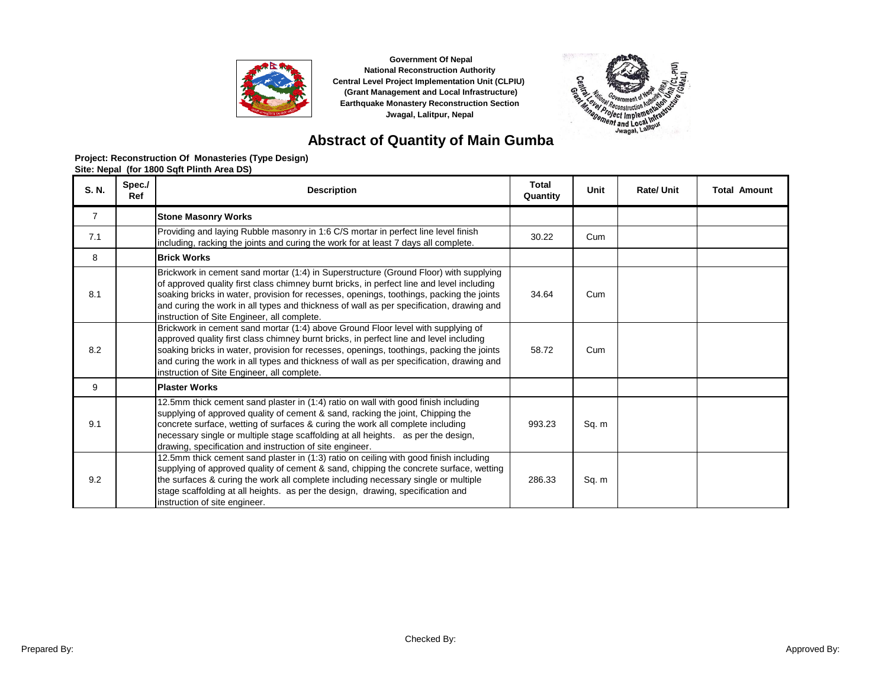



# **Abstract of Quantity of Main Gumba**

| S. N.          | Spec./<br>Ref | <b>Description</b>                                                                                                                                                                                                                                                                                                                                                                                                        | <b>Total</b><br>Quantity | Unit  | <b>Rate/ Unit</b> | <b>Total Amount</b> |
|----------------|---------------|---------------------------------------------------------------------------------------------------------------------------------------------------------------------------------------------------------------------------------------------------------------------------------------------------------------------------------------------------------------------------------------------------------------------------|--------------------------|-------|-------------------|---------------------|
| $\overline{7}$ |               | <b>Stone Masonry Works</b>                                                                                                                                                                                                                                                                                                                                                                                                |                          |       |                   |                     |
| 7.1            |               | Providing and laying Rubble masonry in 1:6 C/S mortar in perfect line level finish<br>including, racking the joints and curing the work for at least 7 days all complete.                                                                                                                                                                                                                                                 | 30.22                    | Cum   |                   |                     |
| 8              |               | <b>Brick Works</b>                                                                                                                                                                                                                                                                                                                                                                                                        |                          |       |                   |                     |
| 8.1            |               | Brickwork in cement sand mortar (1:4) in Superstructure (Ground Floor) with supplying<br>of approved quality first class chimney burnt bricks, in perfect line and level including<br>soaking bricks in water, provision for recesses, openings, toothings, packing the joints<br>and curing the work in all types and thickness of wall as per specification, drawing and<br>instruction of Site Engineer, all complete. | 34.64                    | Cum   |                   |                     |
| 8.2            |               | Brickwork in cement sand mortar (1:4) above Ground Floor level with supplying of<br>approved quality first class chimney burnt bricks, in perfect line and level including<br>soaking bricks in water, provision for recesses, openings, toothings, packing the joints<br>and curing the work in all types and thickness of wall as per specification, drawing and<br>instruction of Site Engineer, all complete.         | 58.72                    | Cum   |                   |                     |
| 9              |               | <b>Plaster Works</b>                                                                                                                                                                                                                                                                                                                                                                                                      |                          |       |                   |                     |
| 9.1            |               | 12.5mm thick cement sand plaster in (1:4) ratio on wall with good finish including<br>supplying of approved quality of cement & sand, racking the joint, Chipping the<br>concrete surface, wetting of surfaces & curing the work all complete including<br>necessary single or multiple stage scaffolding at all heights. as per the design,<br>drawing, specification and instruction of site engineer.                  | 993.23                   | Sq. m |                   |                     |
| 9.2            |               | 12.5mm thick cement sand plaster in (1:3) ratio on ceiling with good finish including<br>supplying of approved quality of cement & sand, chipping the concrete surface, wetting<br>the surfaces & curing the work all complete including necessary single or multiple<br>stage scaffolding at all heights. as per the design, drawing, specification and<br>instruction of site engineer.                                 | 286.33                   | Sq. m |                   |                     |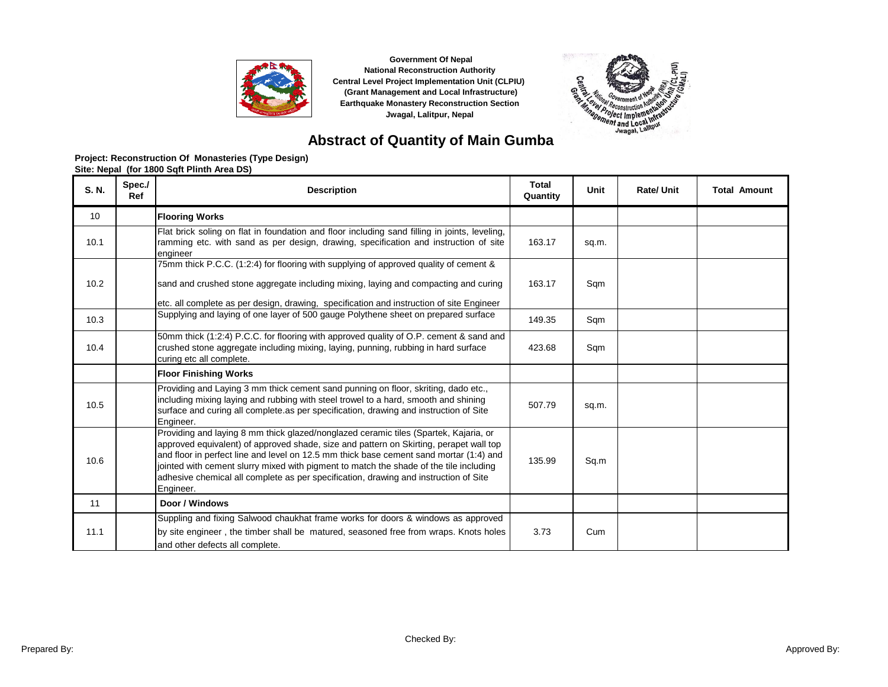



# **Abstract of Quantity of Main Gumba**

| S. N. | Spec./<br>Ref | <b>Description</b>                                                                                                                                                                                                                                                                                                                                                                                                                                                      | <b>Total</b><br>Quantity | Unit  | Rate/ Unit | <b>Total Amount</b> |
|-------|---------------|-------------------------------------------------------------------------------------------------------------------------------------------------------------------------------------------------------------------------------------------------------------------------------------------------------------------------------------------------------------------------------------------------------------------------------------------------------------------------|--------------------------|-------|------------|---------------------|
| 10    |               | <b>Flooring Works</b>                                                                                                                                                                                                                                                                                                                                                                                                                                                   |                          |       |            |                     |
| 10.1  |               | Flat brick soling on flat in foundation and floor including sand filling in joints, leveling,<br>ramming etc. with sand as per design, drawing, specification and instruction of site<br>engineer                                                                                                                                                                                                                                                                       | 163.17                   | sq.m. |            |                     |
| 10.2  |               | 75mm thick P.C.C. (1:2:4) for flooring with supplying of approved quality of cement &<br>sand and crushed stone aggregate including mixing, laying and compacting and curing<br>etc. all complete as per design, drawing, specification and instruction of site Engineer                                                                                                                                                                                                | 163.17                   | Sqm   |            |                     |
| 10.3  |               | Supplying and laying of one layer of 500 gauge Polythene sheet on prepared surface                                                                                                                                                                                                                                                                                                                                                                                      | 149.35                   | Sqm   |            |                     |
| 10.4  |               | 50mm thick (1:2:4) P.C.C. for flooring with approved quality of O.P. cement & sand and<br>crushed stone aggregate including mixing, laying, punning, rubbing in hard surface<br>curing etc all complete.                                                                                                                                                                                                                                                                | 423.68                   | Sqm   |            |                     |
|       |               | <b>Floor Finishing Works</b>                                                                                                                                                                                                                                                                                                                                                                                                                                            |                          |       |            |                     |
| 10.5  |               | Providing and Laying 3 mm thick cement sand punning on floor, skriting, dado etc.,<br>including mixing laying and rubbing with steel trowel to a hard, smooth and shining<br>surface and curing all complete as per specification, drawing and instruction of Site<br>Engineer.                                                                                                                                                                                         | 507.79                   | sq.m. |            |                     |
| 10.6  |               | Providing and laying 8 mm thick glazed/nonglazed ceramic tiles (Spartek, Kajaria, or<br>approved equivalent) of approved shade, size and pattern on Skirting, perapet wall top<br>and floor in perfect line and level on 12.5 mm thick base cement sand mortar (1:4) and<br>jointed with cement slurry mixed with pigment to match the shade of the tile including<br>adhesive chemical all complete as per specification, drawing and instruction of Site<br>Engineer. | 135.99                   | Sq.m  |            |                     |
| 11    |               | Door / Windows                                                                                                                                                                                                                                                                                                                                                                                                                                                          |                          |       |            |                     |
| 11.1  |               | Suppling and fixing Salwood chaukhat frame works for doors & windows as approved<br>by site engineer, the timber shall be matured, seasoned free from wraps. Knots holes<br>and other defects all complete.                                                                                                                                                                                                                                                             | 3.73                     | Cum   |            |                     |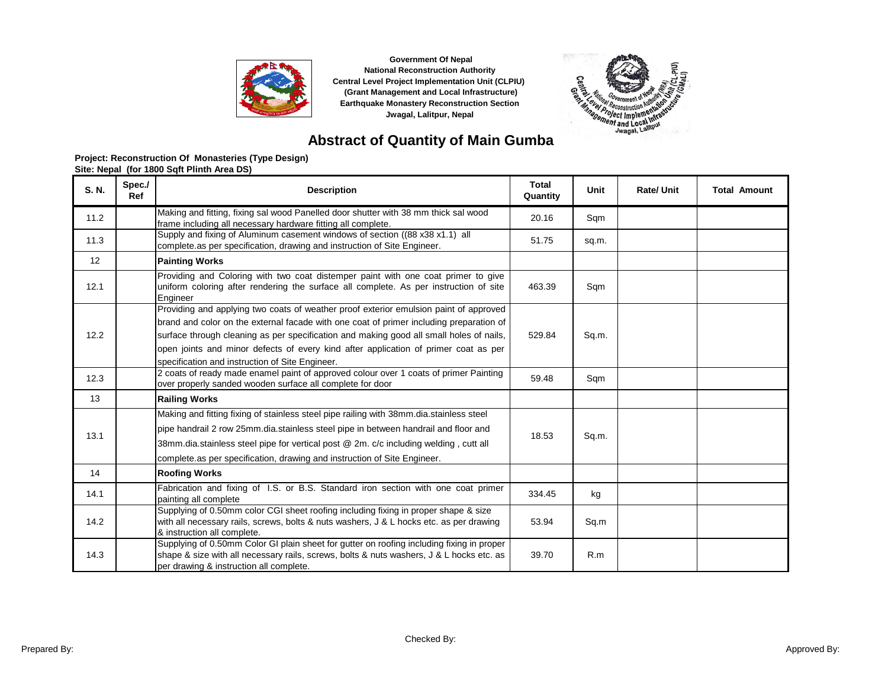



# **Abstract of Quantity of Main Gumba**

| S. N. | Spec./<br>Ref | <b>Description</b>                                                                                                                                                                                                                                                                                                                                                                                                    | <b>Total</b><br>Quantity | Unit  | <b>Rate/ Unit</b> | <b>Total Amount</b> |
|-------|---------------|-----------------------------------------------------------------------------------------------------------------------------------------------------------------------------------------------------------------------------------------------------------------------------------------------------------------------------------------------------------------------------------------------------------------------|--------------------------|-------|-------------------|---------------------|
| 11.2  |               | Making and fitting, fixing sal wood Panelled door shutter with 38 mm thick sal wood<br>frame including all necessary hardware fitting all complete.                                                                                                                                                                                                                                                                   | 20.16                    | Sqm   |                   |                     |
| 11.3  |               | Supply and fixing of Aluminum casement windows of section ((88 x38 x1.1) all<br>complete.as per specification, drawing and instruction of Site Engineer.                                                                                                                                                                                                                                                              | 51.75                    | sq.m. |                   |                     |
| 12    |               | <b>Painting Works</b>                                                                                                                                                                                                                                                                                                                                                                                                 |                          |       |                   |                     |
| 12.1  |               | Providing and Coloring with two coat distemper paint with one coat primer to give<br>uniform coloring after rendering the surface all complete. As per instruction of site<br>Engineer                                                                                                                                                                                                                                | 463.39                   | Sqm   |                   |                     |
| 12.2  |               | Providing and applying two coats of weather proof exterior emulsion paint of approved<br>brand and color on the external facade with one coat of primer including preparation of<br>surface through cleaning as per specification and making good all small holes of nails,<br>open joints and minor defects of every kind after application of primer coat as per<br>specification and instruction of Site Engineer. | 529.84                   | Sq.m. |                   |                     |
| 12.3  |               | 2 coats of ready made enamel paint of approved colour over 1 coats of primer Painting<br>over properly sanded wooden surface all complete for door                                                                                                                                                                                                                                                                    | 59.48                    | Sqm   |                   |                     |
| 13    |               | <b>Railing Works</b>                                                                                                                                                                                                                                                                                                                                                                                                  |                          |       |                   |                     |
| 13.1  |               | Making and fitting fixing of stainless steel pipe railing with 38mm.dia.stainless steel<br>pipe handrail 2 row 25mm.dia.stainless steel pipe in between handrail and floor and<br>38mm.dia.stainless steel pipe for vertical post @ 2m. c/c including welding, cutt all<br>complete.as per specification, drawing and instruction of Site Engineer.                                                                   | 18.53                    | Sq.m. |                   |                     |
| 14    |               | <b>Roofing Works</b>                                                                                                                                                                                                                                                                                                                                                                                                  |                          |       |                   |                     |
| 14.1  |               | Fabrication and fixing of I.S. or B.S. Standard iron section with one coat primer<br>painting all complete                                                                                                                                                                                                                                                                                                            | 334.45                   | kg    |                   |                     |
| 14.2  |               | Supplying of 0.50mm color CGI sheet roofing including fixing in proper shape & size<br>with all necessary rails, screws, bolts & nuts washers, J & L hocks etc. as per drawing<br>& instruction all complete.                                                                                                                                                                                                         | 53.94                    | Sq.m  |                   |                     |
| 14.3  |               | Supplying of 0.50mm Color GI plain sheet for gutter on roofing including fixing in proper<br>shape & size with all necessary rails, screws, bolts & nuts washers, J & L hocks etc. as<br>per drawing & instruction all complete.                                                                                                                                                                                      | 39.70                    | R.m   |                   |                     |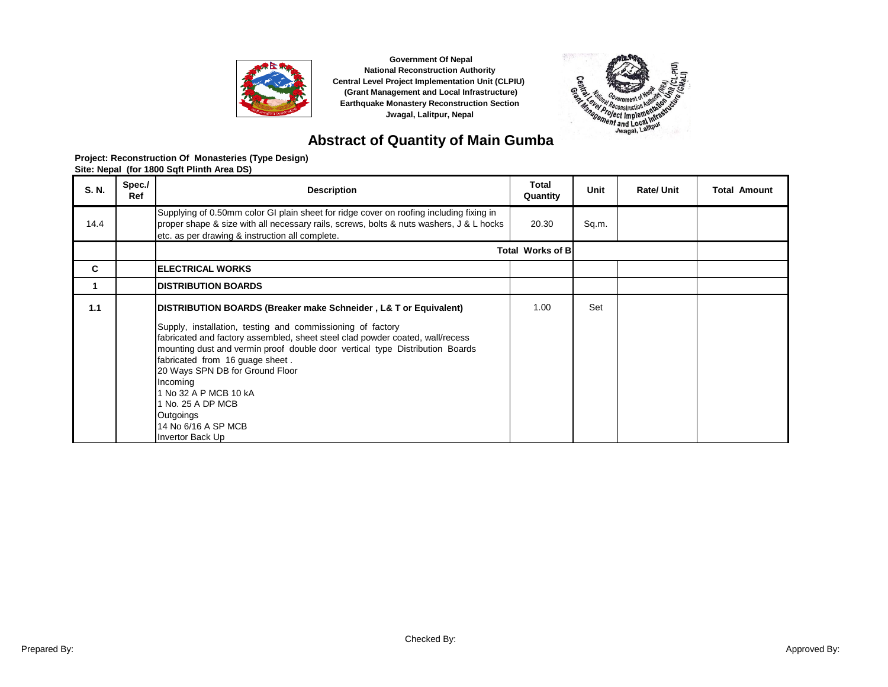



# **Abstract of Quantity of Main Gumba**

| S. N. | Spec./<br>Ref | <b>Description</b>                                                                                                                                                                                                                                                                                                                                                                                                                                                                      | Total<br>Quantity       | Unit  | <b>Rate/Unit</b> | <b>Total Amount</b> |
|-------|---------------|-----------------------------------------------------------------------------------------------------------------------------------------------------------------------------------------------------------------------------------------------------------------------------------------------------------------------------------------------------------------------------------------------------------------------------------------------------------------------------------------|-------------------------|-------|------------------|---------------------|
| 14.4  |               | Supplying of 0.50mm color GI plain sheet for ridge cover on roofing including fixing in<br>proper shape & size with all necessary rails, screws, bolts & nuts washers, J & L hocks<br>etc. as per drawing & instruction all complete.                                                                                                                                                                                                                                                   | 20.30                   | Sq.m. |                  |                     |
|       |               |                                                                                                                                                                                                                                                                                                                                                                                                                                                                                         | <b>Total Works of B</b> |       |                  |                     |
| C     |               | <b>ELECTRICAL WORKS</b>                                                                                                                                                                                                                                                                                                                                                                                                                                                                 |                         |       |                  |                     |
|       |               | <b>IDISTRIBUTION BOARDS</b>                                                                                                                                                                                                                                                                                                                                                                                                                                                             |                         |       |                  |                     |
| 1.1   |               | DISTRIBUTION BOARDS (Breaker make Schneider, L& T or Equivalent)<br>Supply, installation, testing and commissioning of factory<br>fabricated and factory assembled, sheet steel clad powder coated, wall/recess<br>mounting dust and vermin proof double door vertical type Distribution Boards<br>fabricated from 16 guage sheet.<br>20 Ways SPN DB for Ground Floor<br>Incoming<br>1 No 32 A P MCB 10 kA<br>1 No. 25 A DP MCB<br>Outgoings<br>14 No 6/16 A SP MCB<br>Invertor Back Up | 1.00                    | Set   |                  |                     |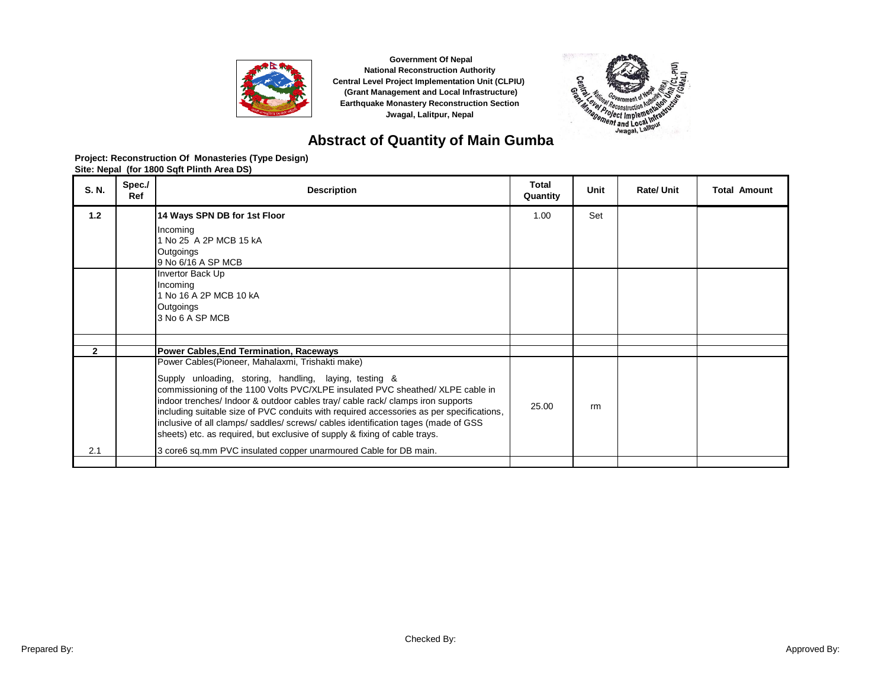



# **Abstract of Quantity of Main Gumba**

| S. N.        | Spec./<br>Ref | <b>Description</b>                                                                                                                                                                                                                                                                                                                                                                                                                                                                                                                             | Total<br>Quantity | Unit | Rate/ Unit | <b>Total Amount</b> |
|--------------|---------------|------------------------------------------------------------------------------------------------------------------------------------------------------------------------------------------------------------------------------------------------------------------------------------------------------------------------------------------------------------------------------------------------------------------------------------------------------------------------------------------------------------------------------------------------|-------------------|------|------------|---------------------|
| 1.2          |               | 14 Ways SPN DB for 1st Floor                                                                                                                                                                                                                                                                                                                                                                                                                                                                                                                   | 1.00              | Set  |            |                     |
|              |               | Incoming<br>1 No 25 A 2P MCB 15 kA                                                                                                                                                                                                                                                                                                                                                                                                                                                                                                             |                   |      |            |                     |
|              |               | Outgoings                                                                                                                                                                                                                                                                                                                                                                                                                                                                                                                                      |                   |      |            |                     |
|              |               | 9 No 6/16 A SP MCB                                                                                                                                                                                                                                                                                                                                                                                                                                                                                                                             |                   |      |            |                     |
|              |               | Invertor Back Up<br>Incoming                                                                                                                                                                                                                                                                                                                                                                                                                                                                                                                   |                   |      |            |                     |
|              |               | 1 No 16 A 2P MCB 10 kA                                                                                                                                                                                                                                                                                                                                                                                                                                                                                                                         |                   |      |            |                     |
|              |               | Outgoings                                                                                                                                                                                                                                                                                                                                                                                                                                                                                                                                      |                   |      |            |                     |
|              |               | 3 No 6 A SP MCB                                                                                                                                                                                                                                                                                                                                                                                                                                                                                                                                |                   |      |            |                     |
|              |               |                                                                                                                                                                                                                                                                                                                                                                                                                                                                                                                                                |                   |      |            |                     |
| $\mathbf{2}$ |               | <b>Power Cables, End Termination, Raceways</b>                                                                                                                                                                                                                                                                                                                                                                                                                                                                                                 |                   |      |            |                     |
|              |               | Power Cables (Pioneer, Mahalaxmi, Trishakti make)<br>Supply unloading, storing, handling, laying, testing &<br>commissioning of the 1100 Volts PVC/XLPE insulated PVC sheathed/ XLPE cable in<br>indoor trenches/ Indoor & outdoor cables tray/ cable rack/ clamps iron supports<br>including suitable size of PVC conduits with required accessories as per specifications,<br>inclusive of all clamps/saddles/screws/cables identification tages (made of GSS)<br>sheets) etc. as required, but exclusive of supply & fixing of cable trays. | 25.00             | rm   |            |                     |
| 2.1          |               | 3 core6 sq.mm PVC insulated copper unarmoured Cable for DB main.                                                                                                                                                                                                                                                                                                                                                                                                                                                                               |                   |      |            |                     |
|              |               |                                                                                                                                                                                                                                                                                                                                                                                                                                                                                                                                                |                   |      |            |                     |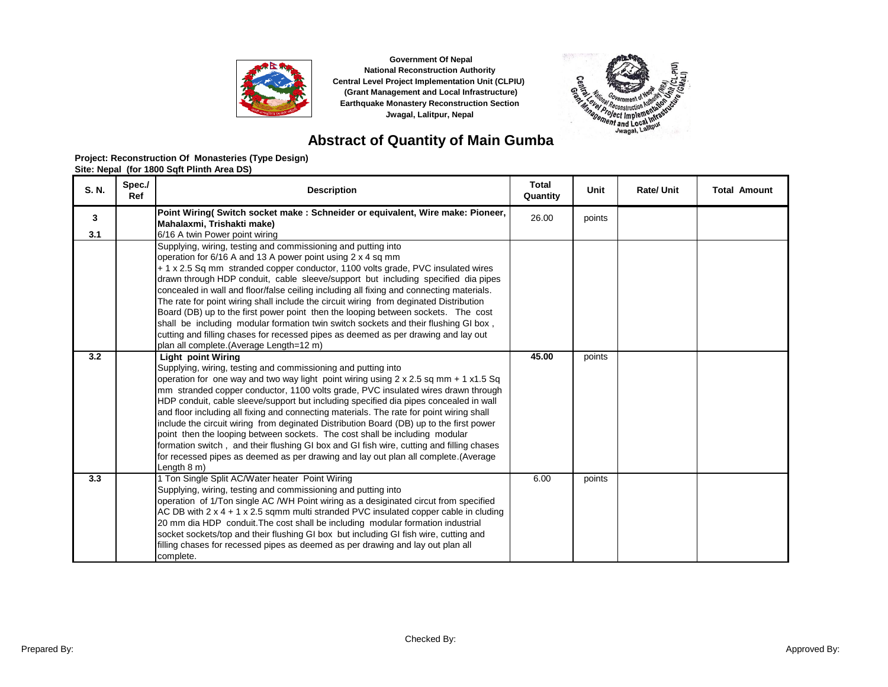



# **Abstract of Quantity of Main Gumba**

| S. N. | Spec./<br>Ref | <b>Description</b>                                                                                                                                                                | <b>Total</b><br>Quantity | Unit   | Rate/ Unit | <b>Total Amount</b> |
|-------|---------------|-----------------------------------------------------------------------------------------------------------------------------------------------------------------------------------|--------------------------|--------|------------|---------------------|
| 3     |               | Point Wiring( Switch socket make: Schneider or equivalent, Wire make: Pioneer,                                                                                                    | 26.00                    | points |            |                     |
| 3.1   |               | Mahalaxmi. Trishakti make)                                                                                                                                                        |                          |        |            |                     |
|       |               | 6/16 A twin Power point wiring<br>Supplying, wiring, testing and commissioning and putting into                                                                                   |                          |        |            |                     |
|       |               | operation for 6/16 A and 13 A power point using 2 x 4 sq mm                                                                                                                       |                          |        |            |                     |
|       |               | + 1 x 2.5 Sq mm stranded copper conductor, 1100 volts grade, PVC insulated wires                                                                                                  |                          |        |            |                     |
|       |               | drawn through HDP conduit, cable sleeve/support but including specified dia pipes                                                                                                 |                          |        |            |                     |
|       |               | concealed in wall and floor/false ceiling including all fixing and connecting materials.                                                                                          |                          |        |            |                     |
|       |               | The rate for point wiring shall include the circuit wiring from deginated Distribution                                                                                            |                          |        |            |                     |
|       |               | Board (DB) up to the first power point then the looping between sockets. The cost<br>shall be including modular formation twin switch sockets and their flushing GI box,          |                          |        |            |                     |
|       |               | cutting and filling chases for recessed pipes as deemed as per drawing and lay out                                                                                                |                          |        |            |                     |
|       |               | plan all complete.(Average Length=12 m)                                                                                                                                           |                          |        |            |                     |
| 3.2   |               | <b>Light point Wiring</b>                                                                                                                                                         | 45.00                    | points |            |                     |
|       |               | Supplying, wiring, testing and commissioning and putting into                                                                                                                     |                          |        |            |                     |
|       |               | operation for one way and two way light point wiring using $2 \times 2.5$ sq mm + 1 x1.5 Sq                                                                                       |                          |        |            |                     |
|       |               | mm stranded copper conductor, 1100 volts grade, PVC insulated wires drawn through                                                                                                 |                          |        |            |                     |
|       |               | HDP conduit, cable sleeve/support but including specified dia pipes concealed in wall<br>and floor including all fixing and connecting materials. The rate for point wiring shall |                          |        |            |                     |
|       |               | include the circuit wiring from deginated Distribution Board (DB) up to the first power                                                                                           |                          |        |            |                     |
|       |               | point then the looping between sockets. The cost shall be including modular                                                                                                       |                          |        |            |                     |
|       |               | formation switch, and their flushing GI box and GI fish wire, cutting and filling chases                                                                                          |                          |        |            |                     |
|       |               | for recessed pipes as deemed as per drawing and lay out plan all complete. (Average                                                                                               |                          |        |            |                     |
|       |               | Length 8 m)                                                                                                                                                                       |                          |        |            |                     |
| 3.3   |               | 1 Ton Single Split AC/Water heater Point Wiring<br>Supplying, wiring, testing and commissioning and putting into                                                                  | 6.00                     | points |            |                     |
|       |               | operation of 1/Ton single AC /WH Point wiring as a desiginated circut from specified                                                                                              |                          |        |            |                     |
|       |               | AC DB with $2 \times 4 + 1 \times 2.5$ sqmm multi stranded PVC insulated copper cable in cluding                                                                                  |                          |        |            |                     |
|       |               | 20 mm dia HDP conduit. The cost shall be including modular formation industrial                                                                                                   |                          |        |            |                     |
|       |               | socket sockets/top and their flushing GI box but including GI fish wire, cutting and                                                                                              |                          |        |            |                     |
|       |               | filling chases for recessed pipes as deemed as per drawing and lay out plan all                                                                                                   |                          |        |            |                     |
|       |               | complete.                                                                                                                                                                         |                          |        |            |                     |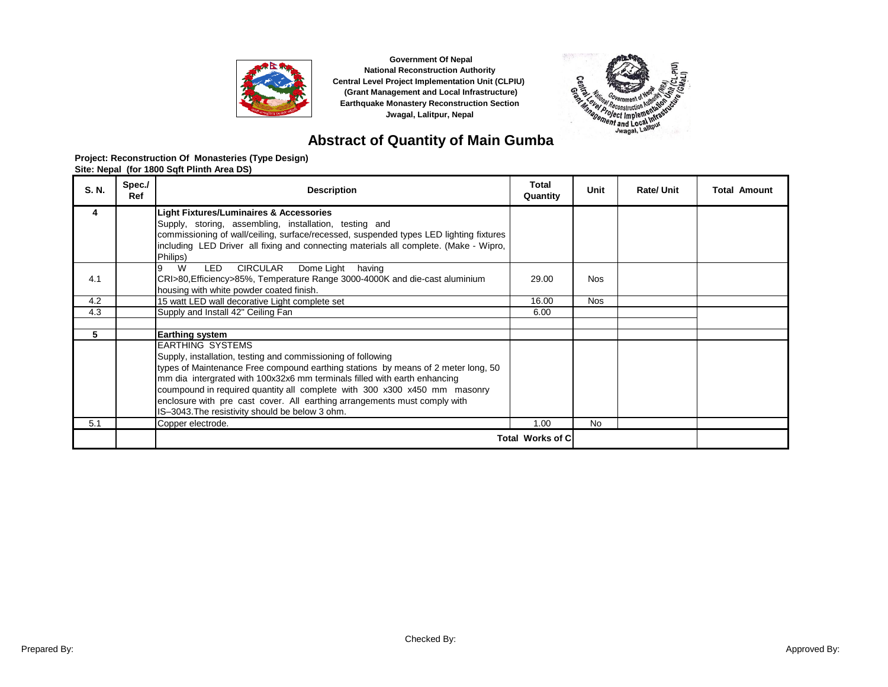



# **Abstract of Quantity of Main Gumba**

| S. N. | Spec./<br>Ref | <b>Description</b>                                                                                                                                                              | <b>Total</b><br>Quantity | Unit       | <b>Rate/Unit</b> | <b>Total Amount</b> |
|-------|---------------|---------------------------------------------------------------------------------------------------------------------------------------------------------------------------------|--------------------------|------------|------------------|---------------------|
| 4     |               | <b>Light Fixtures/Luminaires &amp; Accessories</b>                                                                                                                              |                          |            |                  |                     |
|       |               | Supply, storing, assembling, installation, testing and                                                                                                                          |                          |            |                  |                     |
|       |               | commissioning of wall/ceiling, surface/recessed, suspended types LED lighting fixtures<br>including LED Driver all fixing and connecting materials all complete. (Make - Wipro, |                          |            |                  |                     |
|       |               | Philips)                                                                                                                                                                        |                          |            |                  |                     |
|       |               | W<br><b>CIRCULAR</b><br>LED.<br>Dome Light<br>having                                                                                                                            |                          |            |                  |                     |
| 4.1   |               | CRI>80, Efficiency>85%, Temperature Range 3000-4000K and die-cast aluminium                                                                                                     | 29.00                    | <b>Nos</b> |                  |                     |
|       |               | housing with white powder coated finish.                                                                                                                                        |                          |            |                  |                     |
| 4.2   |               | 15 watt LED wall decorative Light complete set                                                                                                                                  | 16.00                    | <b>Nos</b> |                  |                     |
| 4.3   |               | Supply and Install 42" Ceiling Fan                                                                                                                                              | 6.00                     |            |                  |                     |
|       |               |                                                                                                                                                                                 |                          |            |                  |                     |
| 5     |               | <b>Earthing system</b>                                                                                                                                                          |                          |            |                  |                     |
|       |               | <b>EARTHING SYSTEMS</b>                                                                                                                                                         |                          |            |                  |                     |
|       |               | Supply, installation, testing and commissioning of following                                                                                                                    |                          |            |                  |                     |
|       |               | types of Maintenance Free compound earthing stations by means of 2 meter long, 50                                                                                               |                          |            |                  |                     |
|       |               | mm dia intergrated with 100x32x6 mm terminals filled with earth enhancing                                                                                                       |                          |            |                  |                     |
|       |               | coumpound in required quantity all complete with 300 x300 x450 mm masonry                                                                                                       |                          |            |                  |                     |
|       |               | enclosure with pre cast cover. All earthing arrangements must comply with                                                                                                       |                          |            |                  |                     |
|       |               | IS-3043. The resistivity should be below 3 ohm.                                                                                                                                 |                          |            |                  |                     |
| 5.1   |               | Copper electrode.                                                                                                                                                               | 1.00                     | <b>No</b>  |                  |                     |
|       |               |                                                                                                                                                                                 | Total Works of C         |            |                  |                     |